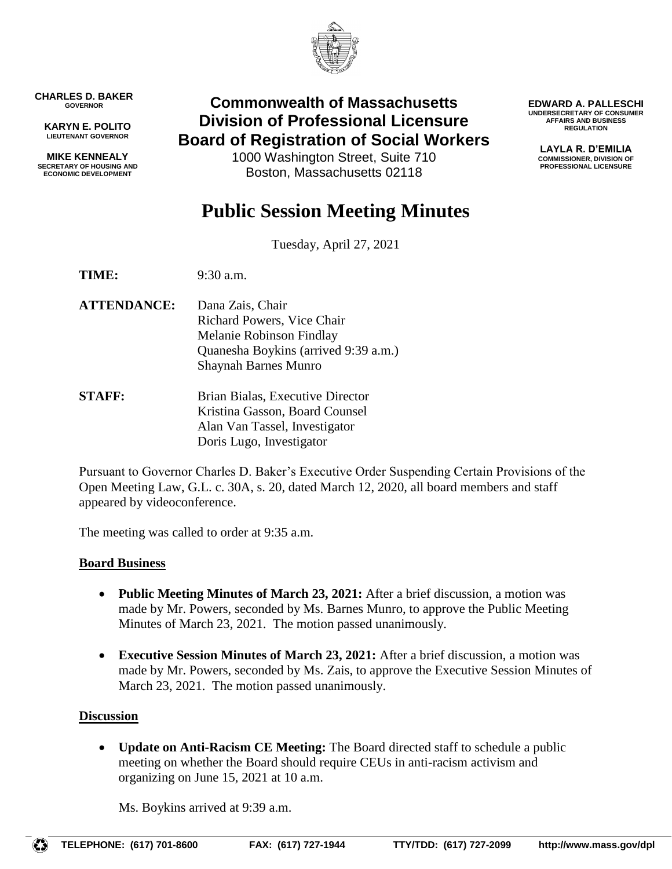

**CHARLES D. BAKER GOVERNOR**

**KARYN E. POLITO LIEUTENANT GOVERNOR**

**MIKE KENNEALY SECRETARY OF HOUSING AND ECONOMIC DEVELOPMENT**

# **Commonwealth of Massachusetts Division of Professional Licensure Board of Registration of Social Workers**

1000 Washington Street, Suite 710 Boston, Massachusetts 02118

**EDWARD A. PALLESCHI UNDERSECRETARY OF CONSUMER AFFAIRS AND BUSINESS REGULATION**

> **LAYLA R. D'EMILIA COMMISSIONER, DIVISION OF PROFESSIONAL LICENSURE**

# **Public Session Meeting Minutes**

Tuesday, April 27, 2021

**TIME:** 9:30 a.m.

- **ATTENDANCE:** Dana Zais, Chair Richard Powers, Vice Chair Melanie Robinson Findlay Quanesha Boykins (arrived 9:39 a.m.) Shaynah Barnes Munro
- **STAFF:** Brian Bialas, Executive Director Kristina Gasson, Board Counsel Alan Van Tassel, Investigator Doris Lugo, Investigator

Pursuant to Governor Charles D. Baker's Executive Order Suspending Certain Provisions of the Open Meeting Law, G.L. c. 30A, s. 20, dated March 12, 2020, all board members and staff appeared by videoconference.

The meeting was called to order at 9:35 a.m.

# **Board Business**

- **Public Meeting Minutes of March 23, 2021:** After a brief discussion, a motion was made by Mr. Powers, seconded by Ms. Barnes Munro, to approve the Public Meeting Minutes of March 23, 2021. The motion passed unanimously.
- **Executive Session Minutes of March 23, 2021:** After a brief discussion, a motion was made by Mr. Powers, seconded by Ms. Zais, to approve the Executive Session Minutes of March 23, 2021. The motion passed unanimously.

# **Discussion**

 **Update on Anti-Racism CE Meeting:** The Board directed staff to schedule a public meeting on whether the Board should require CEUs in anti-racism activism and organizing on June 15, 2021 at 10 a.m.

Ms. Boykins arrived at 9:39 a.m.

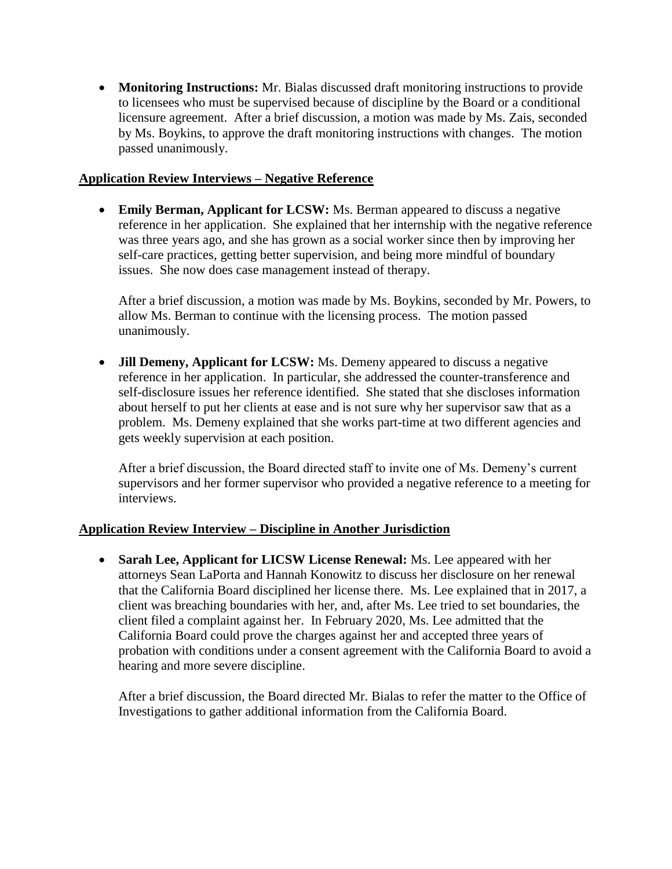**Monitoring Instructions:** Mr. Bialas discussed draft monitoring instructions to provide to licensees who must be supervised because of discipline by the Board or a conditional licensure agreement. After a brief discussion, a motion was made by Ms. Zais, seconded by Ms. Boykins, to approve the draft monitoring instructions with changes. The motion passed unanimously.

#### **Application Review Interviews – Negative Reference**

 **Emily Berman, Applicant for LCSW:** Ms. Berman appeared to discuss a negative reference in her application. She explained that her internship with the negative reference was three years ago, and she has grown as a social worker since then by improving her self-care practices, getting better supervision, and being more mindful of boundary issues. She now does case management instead of therapy.

After a brief discussion, a motion was made by Ms. Boykins, seconded by Mr. Powers, to allow Ms. Berman to continue with the licensing process. The motion passed unanimously.

 **Jill Demeny, Applicant for LCSW:** Ms. Demeny appeared to discuss a negative reference in her application. In particular, she addressed the counter-transference and self-disclosure issues her reference identified. She stated that she discloses information about herself to put her clients at ease and is not sure why her supervisor saw that as a problem. Ms. Demeny explained that she works part-time at two different agencies and gets weekly supervision at each position.

After a brief discussion, the Board directed staff to invite one of Ms. Demeny's current supervisors and her former supervisor who provided a negative reference to a meeting for interviews.

#### **Application Review Interview – Discipline in Another Jurisdiction**

 **Sarah Lee, Applicant for LICSW License Renewal:** Ms. Lee appeared with her attorneys Sean LaPorta and Hannah Konowitz to discuss her disclosure on her renewal that the California Board disciplined her license there. Ms. Lee explained that in 2017, a client was breaching boundaries with her, and, after Ms. Lee tried to set boundaries, the client filed a complaint against her. In February 2020, Ms. Lee admitted that the California Board could prove the charges against her and accepted three years of probation with conditions under a consent agreement with the California Board to avoid a hearing and more severe discipline.

After a brief discussion, the Board directed Mr. Bialas to refer the matter to the Office of Investigations to gather additional information from the California Board.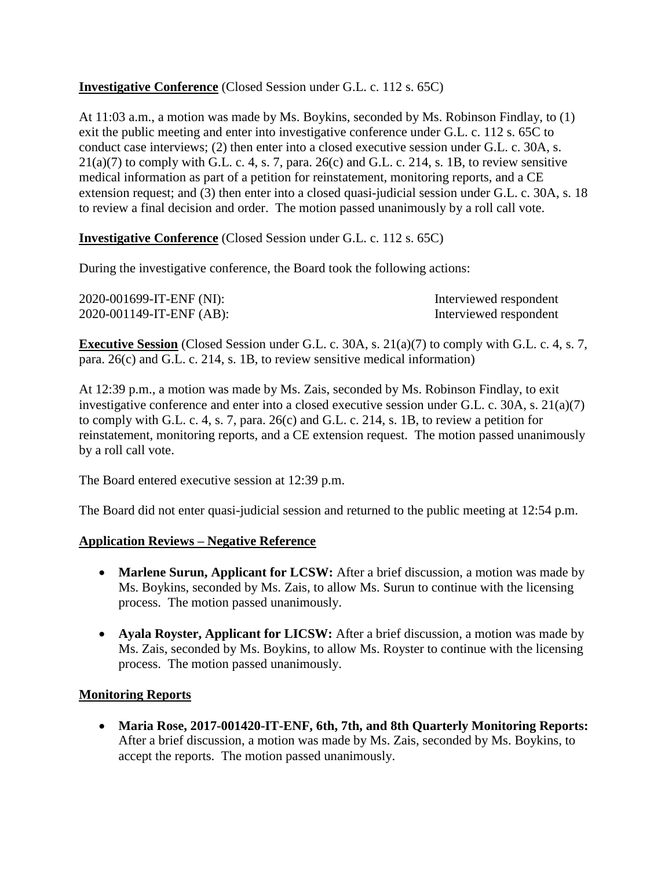# **Investigative Conference** (Closed Session under G.L. c. 112 s. 65C)

At 11:03 a.m., a motion was made by Ms. Boykins, seconded by Ms. Robinson Findlay, to (1) exit the public meeting and enter into investigative conference under G.L. c. 112 s. 65C to conduct case interviews; (2) then enter into a closed executive session under G.L. c. 30A, s.  $21(a)(7)$  to comply with G.L. c. 4, s. 7, para.  $26(c)$  and G.L. c. 214, s. 1B, to review sensitive medical information as part of a petition for reinstatement, monitoring reports, and a CE extension request; and (3) then enter into a closed quasi-judicial session under G.L. c. 30A, s. 18 to review a final decision and order. The motion passed unanimously by a roll call vote.

**Investigative Conference** (Closed Session under G.L. c. 112 s. 65C)

During the investigative conference, the Board took the following actions:

| 2020-001699-IT-ENF (NI): | Interviewed respondent |
|--------------------------|------------------------|
| 2020-001149-IT-ENF (AB): | Interviewed respondent |

**Executive Session** (Closed Session under G.L. c. 30A, s. 21(a)(7) to comply with G.L. c. 4, s. 7, para. 26(c) and G.L. c. 214, s. 1B, to review sensitive medical information)

At 12:39 p.m., a motion was made by Ms. Zais, seconded by Ms. Robinson Findlay, to exit investigative conference and enter into a closed executive session under G.L. c. 30A, s. 21(a)(7) to comply with G.L. c. 4, s. 7, para. 26(c) and G.L. c. 214, s. 1B, to review a petition for reinstatement, monitoring reports, and a CE extension request. The motion passed unanimously by a roll call vote.

The Board entered executive session at 12:39 p.m.

The Board did not enter quasi-judicial session and returned to the public meeting at 12:54 p.m.

# **Application Reviews – Negative Reference**

- **Marlene Surun, Applicant for LCSW:** After a brief discussion, a motion was made by Ms. Boykins, seconded by Ms. Zais, to allow Ms. Surun to continue with the licensing process. The motion passed unanimously.
- **Ayala Royster, Applicant for LICSW:** After a brief discussion, a motion was made by Ms. Zais, seconded by Ms. Boykins, to allow Ms. Royster to continue with the licensing process. The motion passed unanimously.

# **Monitoring Reports**

 **Maria Rose, 2017-001420-IT-ENF, 6th, 7th, and 8th Quarterly Monitoring Reports:**  After a brief discussion, a motion was made by Ms. Zais, seconded by Ms. Boykins, to accept the reports. The motion passed unanimously.